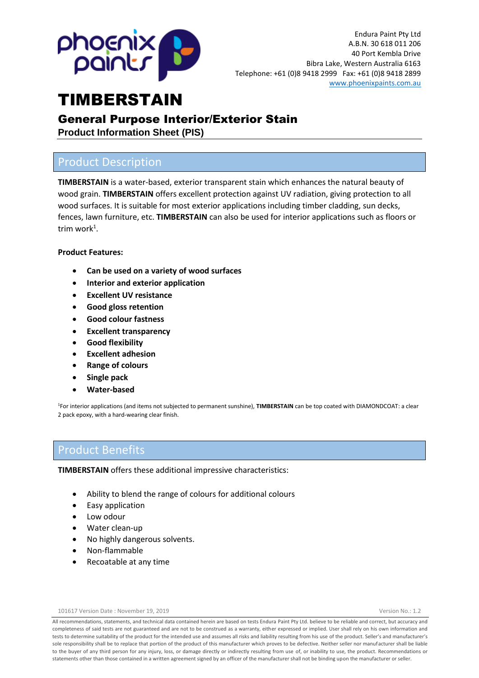

## General Purpose Interior/Exterior Stain

**Product Information Sheet (PIS)**

### Product Description

**TIMBERSTAIN** is a water-based, exterior transparent stain which enhances the natural beauty of wood grain. **TIMBERSTAIN** offers excellent protection against UV radiation, giving protection to all wood surfaces. It is suitable for most exterior applications including timber cladding, sun decks, fences, lawn furniture, etc. **TIMBERSTAIN** can also be used for interior applications such as floors or trim work $^1$ .

#### **Product Features:**

- **Can be used on a variety of wood surfaces**
- **Interior and exterior application**
- **Excellent UV resistance**
- **Good gloss retention**
- **Good colour fastness**
- **Excellent transparency**
- **Good flexibility**
- **Excellent adhesion**
- **Range of colours**
- **Single pack**
- **Water-based**

<sup>1</sup>For interior applications (and items not subjected to permanent sunshine), **TIMBERSTAIN** can be top coated with DIAMONDCOAT: a clear 2 pack epoxy, with a hard-wearing clear finish.

### Product Benefits

**TIMBERSTAIN** offers these additional impressive characteristics:

- Ability to blend the range of colours for additional colours
- Easy application
- Low odour
- Water clean-up
- No highly dangerous solvents.
- Non-flammable
- Recoatable at any time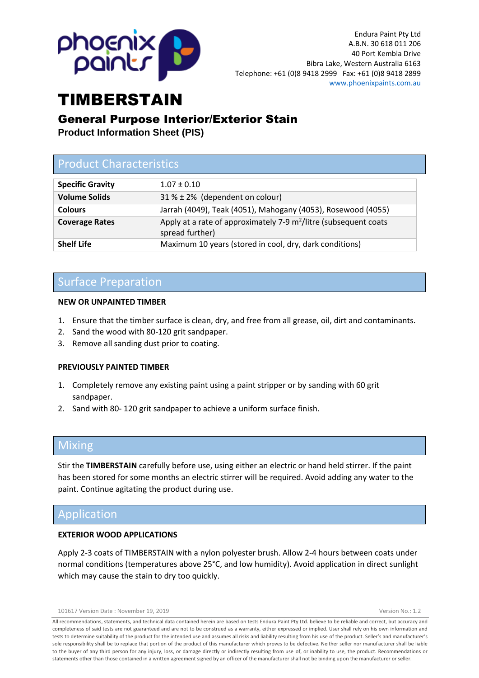

### General Purpose Interior/Exterior Stain

**Product Information Sheet (PIS)**

## Product Characteristics

| <b>Specific Gravity</b> | $1.07 \pm 0.10$                                                                                 |
|-------------------------|-------------------------------------------------------------------------------------------------|
| <b>Volume Solids</b>    | $31\% \pm 2\%$ (dependent on colour)                                                            |
| <b>Colours</b>          | Jarrah (4049), Teak (4051), Mahogany (4053), Rosewood (4055)                                    |
| <b>Coverage Rates</b>   | Apply at a rate of approximately 7-9 m <sup>2</sup> /litre (subsequent coats<br>spread further) |
| <b>Shelf Life</b>       | Maximum 10 years (stored in cool, dry, dark conditions)                                         |

## Surface Preparation

#### **NEW OR UNPAINTED TIMBER**

- 1. Ensure that the timber surface is clean, dry, and free from all grease, oil, dirt and contaminants.
- 2. Sand the wood with 80-120 grit sandpaper.
- 3. Remove all sanding dust prior to coating.

#### **PREVIOUSLY PAINTED TIMBER**

- 1. Completely remove any existing paint using a paint stripper or by sanding with 60 grit sandpaper.
- 2. Sand with 80- 120 grit sandpaper to achieve a uniform surface finish.

### Mixing

Stir the **TIMBERSTAIN** carefully before use, using either an electric or hand held stirrer. If the paint has been stored for some months an electric stirrer will be required. Avoid adding any water to the paint. Continue agitating the product during use.

### Application

#### **EXTERIOR WOOD APPLICATIONS**

Apply 2-3 coats of TIMBERSTAIN with a nylon polyester brush. Allow 2-4 hours between coats under normal conditions (temperatures above 25°C, and low humidity). Avoid application in direct sunlight which may cause the stain to dry too quickly.

101617 Version Date : November 19, 2019 Version No.: 1.2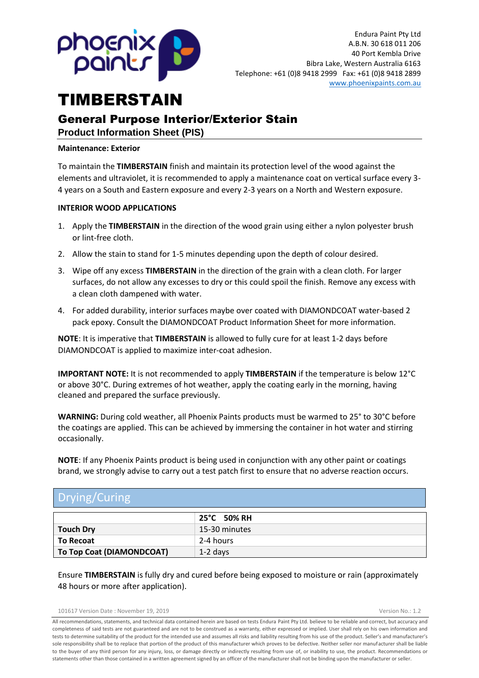

# General Purpose Interior/Exterior Stain

**Product Information Sheet (PIS)**

#### **Maintenance: Exterior**

To maintain the **TIMBERSTAIN** finish and maintain its protection level of the wood against the elements and ultraviolet, it is recommended to apply a maintenance coat on vertical surface every 3- 4 years on a South and Eastern exposure and every 2-3 years on a North and Western exposure.

#### **INTERIOR WOOD APPLICATIONS**

- 1. Apply the **TIMBERSTAIN** in the direction of the wood grain using either a nylon polyester brush or lint-free cloth.
- 2. Allow the stain to stand for 1-5 minutes depending upon the depth of colour desired.
- 3. Wipe off any excess **TIMBERSTAIN** in the direction of the grain with a clean cloth. For larger surfaces, do not allow any excesses to dry or this could spoil the finish. Remove any excess with a clean cloth dampened with water.
- 4. For added durability, interior surfaces maybe over coated with DIAMONDCOAT water-based 2 pack epoxy. Consult the DIAMONDCOAT Product Information Sheet for more information.

**NOTE**: It is imperative that **TIMBERSTAIN** is allowed to fully cure for at least 1-2 days before DIAMONDCOAT is applied to maximize inter-coat adhesion.

**IMPORTANT NOTE:** It is not recommended to apply **TIMBERSTAIN** if the temperature is below 12°C or above 30°C. During extremes of hot weather, apply the coating early in the morning, having cleaned and prepared the surface previously.

**WARNING:** During cold weather, all Phoenix Paints products must be warmed to 25° to 30°C before the coatings are applied. This can be achieved by immersing the container in hot water and stirring occasionally.

**NOTE**: If any Phoenix Paints product is being used in conjunction with any other paint or coatings brand, we strongly advise to carry out a test patch first to ensure that no adverse reaction occurs.

## Drying/Curing

|                           | 25°C 50% RH   |  |
|---------------------------|---------------|--|
| <b>Touch Dry</b>          | 15-30 minutes |  |
| To Recoat                 | 2-4 hours     |  |
| To Top Coat (DIAMONDCOAT) | 1-2 days      |  |

Ensure **TIMBERSTAIN** is fully dry and cured before being exposed to moisture or rain (approximately 48 hours or more after application).

101617 Version Date : November 19, 2019 Version No.: 1.2